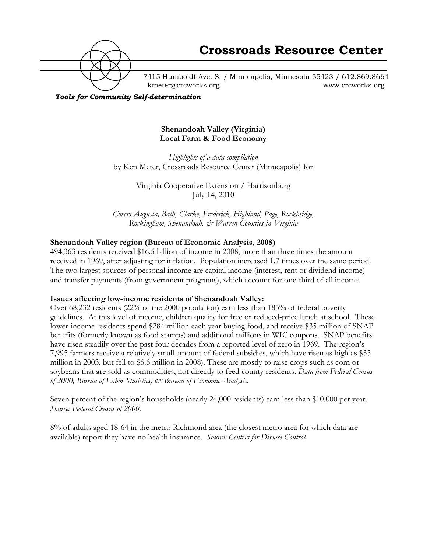

7415 Humboldt Ave. S. / Minneapolis, Minnesota 55423 / 612.869.8664 kmeter@crcworks.org www.crcworks.org

*Tools for Community Self-determination*

## **Shenandoah Valley (Virginia) Local Farm & Food Economy**

*Highlights of a data compilation* by Ken Meter, Crossroads Resource Center (Minneapolis) for

> Virginia Cooperative Extension / Harrisonburg July 14, 2010

*Covers Augusta, Bath, Clarke, Frederick, Highland, Page, Rockbridge, Rockingham, Shenandoah, & Warren Counties in Virginia*

## **Shenandoah Valley region (Bureau of Economic Analysis, 2008)**

494,363 residents received \$16.5 billion of income in 2008, more than three times the amount received in 1969, after adjusting for inflation. Population increased 1.7 times over the same period. The two largest sources of personal income are capital income (interest, rent or dividend income) and transfer payments (from government programs), which account for one-third of all income.

## **Issues affecting low-income residents of Shenandoah Valley:**

Over 68,232 residents (22% of the 2000 population) earn less than 185% of federal poverty guidelines. At this level of income, children qualify for free or reduced-price lunch at school. These lower-income residents spend \$284 million each year buying food, and receive \$35 million of SNAP benefits (formerly known as food stamps) and additional millions in WIC coupons. SNAP benefits have risen steadily over the past four decades from a reported level of zero in 1969. The region's 7,995 farmers receive a relatively small amount of federal subsidies, which have risen as high as \$35 million in 2003, but fell to \$6.6 million in 2008). These are mostly to raise crops such as corn or soybeans that are sold as commodities, not directly to feed county residents. *Data from Federal Census of 2000, Bureau of Labor Statistics, & Bureau of Economic Analysis.*

Seven percent of the region's households (nearly 24,000 residents) earn less than \$10,000 per year. *Source: Federal Census of 2000.*

8% of adults aged 18-64 in the metro Richmond area (the closest metro area for which data are available) report they have no health insurance. *Source: Centers for Disease Control.*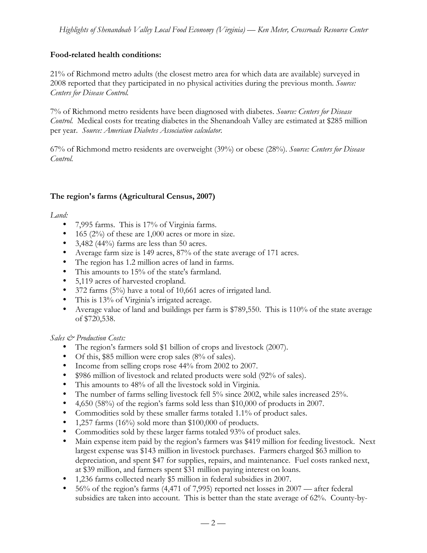# **Food-related health conditions:**

21% of Richmond metro adults (the closest metro area for which data are available) surveyed in 2008 reported that they participated in no physical activities during the previous month. *Source: Centers for Disease Control.*

7% of Richmond metro residents have been diagnosed with diabetes. *Source: Centers for Disease Control.* Medical costs for treating diabetes in the Shenandoah Valley are estimated at \$285 million per year. *Source: American Diabetes Association calculator.*

67% of Richmond metro residents are overweight (39%) or obese (28%). *Source: Centers for Disease Control.*

## **The region's farms (Agricultural Census, 2007)**

*Land:*

- 7,995 farms. This is 17% of Virginia farms.
- $\bullet$  165 (2%) of these are 1,000 acres or more in size.
- 3,482 (44%) farms are less than 50 acres.
- Average farm size is 149 acres, 87% of the state average of 171 acres.
- The region has 1.2 million acres of land in farms.
- This amounts to 15% of the state's farmland.
- 5,119 acres of harvested cropland.
- 372 farms (5%) have a total of 10,661 acres of irrigated land.
- This is 13% of Virginia's irrigated acreage.
- Average value of land and buildings per farm is \$789,550. This is 110% of the state average of \$720,538.

*Sales & Production Costs:*

- The region's farmers sold \$1 billion of crops and livestock (2007).
- Of this, \$85 million were crop sales (8% of sales).
- Income from selling crops rose 44% from 2002 to 2007.
- \$986 million of livestock and related products were sold (92% of sales).
- This amounts to 48% of all the livestock sold in Virginia.
- The number of farms selling livestock fell 5% since 2002, while sales increased 25%.
- 4,650 (58%) of the region's farms sold less than \$10,000 of products in 2007.
- Commodities sold by these smaller farms totaled 1.1% of product sales.
- 1,257 farms (16%) sold more than \$100,000 of products.
- Commodities sold by these larger farms totaled 93% of product sales.
- Main expense item paid by the region's farmers was \$419 million for feeding livestock. Next largest expense was \$143 million in livestock purchases. Farmers charged \$63 million to depreciation, and spent \$47 for supplies, repairs, and maintenance. Fuel costs ranked next, at \$39 million, and farmers spent \$31 million paying interest on loans.
- 1,236 farms collected nearly \$5 million in federal subsidies in 2007.
- 56% of the region's farms (4,471 of 7,995) reported net losses in 2007 after federal subsidies are taken into account. This is better than the state average of 62%. County-by-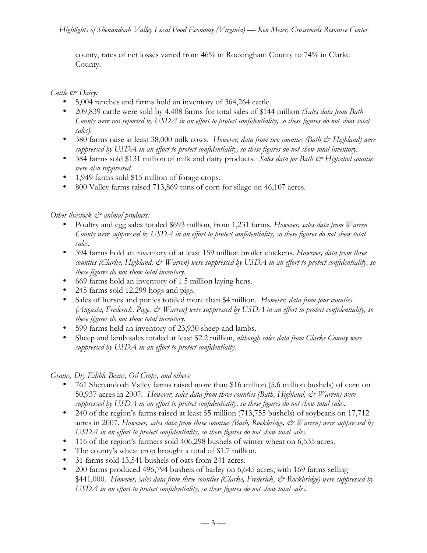county, rates of net losses varied from 46% in Rockingham County to 74% in Clarke County.

*Cattle & Dairy:*

- 5,004 ranches and farms hold an inventory of 364,264 cattle.
- 209,839 cattle were sold by 4,408 farms for total sales of \$144 million *(Sales data from Bath County were not reported by USDA in an effort to protect confidentiality, so these figures do not show total sales).*
- 380 farms raise at least 38,000 milk cows. However, data from two counties (Bath & Highland) were *suppressed by USDA in an effort to protect confidentiality, so these figures do not show total inventory.*
- 384 farms sold \$131 million of milk and dairy products. Sales data for Bath & Highalnd counties *were also suppressed.*
- 1,949 farms sold \$15 million of forage crops.
- 800 Valley farms raised 713,869 tons of corn for silage on 46,107 acres.

# *Other livestock & animal products:*

- Poultry and egg sales totaled \$693 million, from 1,231 farms. *However, sales data from Warren County were suppressed by USDA in an effort to protect confidentiality, so these figures do not show total sales.*
- 394 farms hold an inventory of at least 159 million broiler chickens. *However, data from three counties (Clarke, Highland, & Warren) were suppressed by USDA in an effort to protect confidentiality, so these figures do not show total inventory.*
- 669 farms hold an inventory of 1.5 million laying hens.
- 245 farms sold 12,299 hogs and pigs.
- Sales of horses and ponies totaled more than \$4 million. *However, data from four counties (Augusta, Frederick, Page, & Warren) were suppressed by USDA in an effort to protect confidentiality, so these figures do not show total inventory.*
- 599 farms held an inventory of 23,930 sheep and lambs.
- Sheep and lamb sales totaled at least \$2.2 million, *although sales data from Clarke County were suppressed by USDA in an effort to protect confidentialty.*

*Grains, Dry Edible Beans, Oil Crops, and others:*

- 761 Shenandoah Valley farms raised more than \$16 million (5.6 million bushels) of corn on 50,937 acres in 2007. *However, sales data from three counties (Bath, Highland, & Warren) were suppressed by USDA in an effort to protect confidentiality, so these figures do not show total sales.*
- 240 of the region's farms raised at least \$5 million (713,755 bushels) of soybeans on 17,712 acres in 2007. However, sales data from three counties (Bath, Rockbridge, & Warren) were suppressed by *USDA in an effort to protect confidentiality, so these figures do not show total sales.*
- 116 of the region's farmers sold 406,298 bushels of winter wheat on 6,535 acres.
- The county's wheat crop brought a total of \$1.7 million.
- 31 farms sold 13,541 bushels of oats from 241 acres.
- 200 farms produced 496,794 bushels of barley on 6,645 acres, with 169 farms selling \$441,000. *However, sales data from three counties (Clarke, Frederick, & Rockbridge) were suppressed by USDA in an effort to protect confidentiality, so these figures do not show total sales.*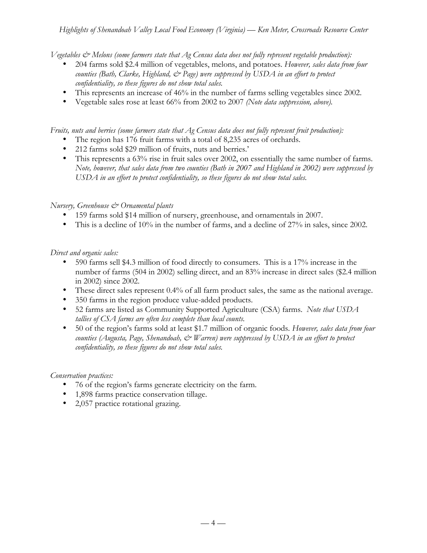*Vegetables & Melons (some farmers state that Ag Census data does not fully represent vegetable production):*

- 204 farms sold \$2.4 million of vegetables, melons, and potatoes. *However, sales data from four counties (Bath, Clarke, Highland, & Page) were suppressed by USDA in an effort to protect confidentiality, so these figures do not show total sales.*
- This represents an increase of 46% in the number of farms selling vegetables since 2002.
- Vegetable sales rose at least 66% from 2002 to 2007 *(Note data suppression, above).*

*Fruits, nuts and berries (some farmers state that Ag Census data does not fully represent fruit production):*

- The region has 176 fruit farms with a total of 8,235 acres of orchards.
- 212 farms sold \$29 million of fruits, nuts and berries.'
- This represents a 63% rise in fruit sales over 2002, on essentially the same number of farms. *Note, however, that sales data from two counties (Bath in 2007 and Highland in 2002) were suppressed by USDA in an effort to protect confidentiality, so these figures do not show total sales.*

## *Nursery, Greenhouse & Ornamental plants*

- 159 farms sold \$14 million of nursery, greenhouse, and ornamentals in 2007.
- This is a decline of 10% in the number of farms, and a decline of 27% in sales, since 2002.

## *Direct and organic sales:*

- 590 farms sell \$4.3 million of food directly to consumers. This is a 17% increase in the number of farms (504 in 2002) selling direct, and an 83% increase in direct sales (\$2.4 million in 2002) since 2002.
- These direct sales represent 0.4% of all farm product sales, the same as the national average.
- 350 farms in the region produce value-added products.
- 52 farms are listed as Community Supported Agriculture (CSA) farms. *Note that USDA tallies of CSA farms are often less complete than local counts.*
- 50 of the region's farms sold at least \$1.7 million of organic foods. *However, sales data from four counties (Augusta, Page, Shenandoah, & Warren) were suppressed by USDA in an effort to protect confidentiality, so these figures do not show total sales.*

## *Conservation practices:*

- 76 of the region's farms generate electricity on the farm.
- 1,898 farms practice conservation tillage.
- 2,057 practice rotational grazing.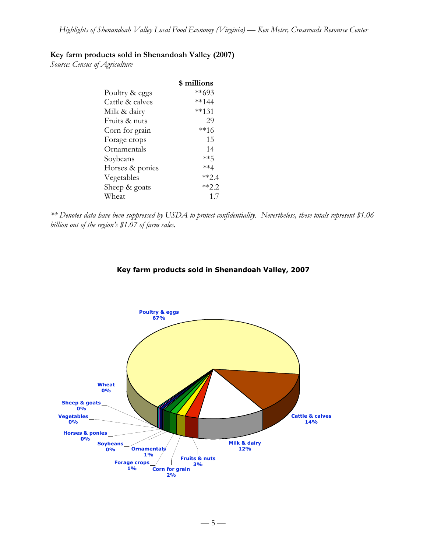# **Key farm products sold in Shenandoah Valley (2007)**

*Source: Census of Agriculture*

|                 | \$ millions |
|-----------------|-------------|
| Poultry & eggs  | $**693$     |
| Cattle & calves | **144       |
| Milk & dairy    | $***131$    |
| Fruits & nuts   | 29          |
| Corn for grain  | **16        |
| Forage crops    | 15          |
| Ornamentals     | 14          |
| Soybeans        | **հ         |
| Horses & ponies | **4         |
| Vegetables      | **2.4       |
| Sheep & goats   | $**2.2$     |
| Wheat           | 1.7         |

*\*\* Denotes data have been suppressed by USDA to protect confidentiality. Nevertheless, these totals represent \$1.06 billion out of the region's \$1.07 of farm sales.*

#### **Key farm products sold in Shenandoah Valley, 2007**

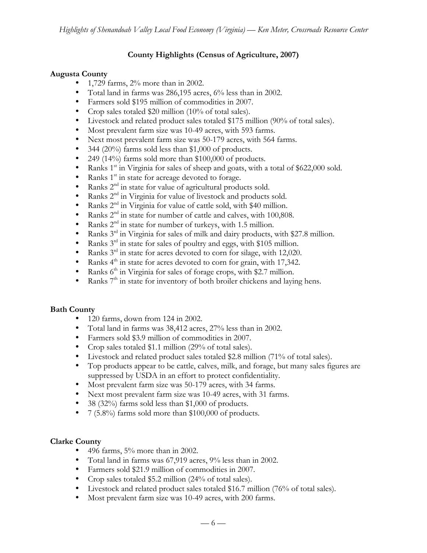# **County Highlights (Census of Agriculture, 2007)**

## **Augusta County**

- 1,729 farms, 2% more than in 2002.
- Total land in farms was 286,195 acres, 6% less than in 2002.
- Farmers sold \$195 million of commodities in 2007.
- Crop sales totaled \$20 million (10% of total sales).
- Livestock and related product sales totaled \$175 million (90% of total sales).
- Most prevalent farm size was 10-49 acres, with 593 farms.
- Next most prevalent farm size was 50-179 acres, with 564 farms.
- 344 (20%) farms sold less than \$1,000 of products.
- 249 (14%) farms sold more than \$100,000 of products.
- Ranks  $1<sup>st</sup>$  in Virginia for sales of sheep and goats, with a total of \$622,000 sold.
- Ranks  $1<sup>st</sup>$  in state for acreage devoted to forage.
- Ranks  $2^{nd}$  in state for value of agricultural products sold.<br>• Ranks  $2^{nd}$  in Virginia for value of livestock and products
- Ranks 2<sup>nd</sup> in Virginia for value of livestock and products sold.
- Ranks  $2<sup>nd</sup>$  in Virginia for value of cattle sold, with \$40 million.
- Ranks  $2<sup>nd</sup>$  in state for number of cattle and calves, with 100,808.<br>• Ranks  $2<sup>nd</sup>$  in state for number of turkeys with 1.5 million
- Ranks  $2<sup>nd</sup>$  in state for number of turkeys, with 1.5 million.
- Ranks 3<sup>rd</sup> in Virginia for sales of milk and dairy products, with \$27.8 million.
- Ranks  $3^{rd}$  in state for sales of poultry and eggs, with \$105 million.<br>• Ranks  $3^{rd}$  in state for acres devoted to corn for silage, with 12.020
- Ranks  $3^{rd}$  in state for acres devoted to corn for silage, with 12,020.<br>• Ranks  $4^{th}$  in state for acres devoted to corn for grain with 17.342
- Ranks  $4<sup>th</sup>$  in state for acres devoted to corn for grain, with 17,342.
- Ranks  $6<sup>th</sup>$  in Virginia for sales of forage crops, with \$2.7 million.
- Ranks  $7<sup>th</sup>$  in state for inventory of both broiler chickens and laying hens.

## **Bath County**

- 120 farms, down from 124 in 2002.
- Total land in farms was 38,412 acres, 27% less than in 2002.
- Farmers sold \$3.9 million of commodities in 2007.
- Crop sales totaled \$1.1 million (29% of total sales).
- Livestock and related product sales totaled \$2.8 million (71% of total sales).
- Top products appear to be cattle, calves, milk, and forage, but many sales figures are suppressed by USDA in an effort to protect confidentiality.
- Most prevalent farm size was 50-179 acres, with 34 farms.
- Next most prevalent farm size was 10-49 acres, with 31 farms.
- 38 (32%) farms sold less than \$1,000 of products.
- 7 (5.8%) farms sold more than \$100,000 of products.

## **Clarke County**

- $\bullet$  496 farms, 5% more than in 2002.
- Total land in farms was 67,919 acres, 9% less than in 2002.
- Farmers sold \$21.9 million of commodities in 2007.
- Crop sales totaled \$5.2 million (24% of total sales).
- Livestock and related product sales totaled \$16.7 million (76% of total sales).
- Most prevalent farm size was 10-49 acres, with 200 farms.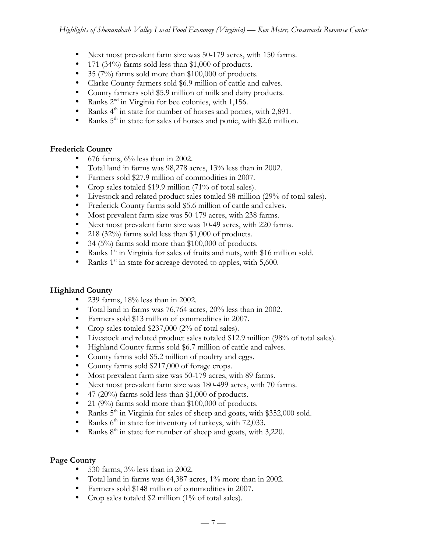- Next most prevalent farm size was 50-179 acres, with 150 farms.
- 171 (34%) farms sold less than \$1,000 of products.
- 35 (7%) farms sold more than \$100,000 of products.
- Clarke County farmers sold \$6.9 million of cattle and calves.
- County farmers sold \$5.9 million of milk and dairy products.
- Ranks  $2<sup>nd</sup>$  in Virginia for bee colonies, with 1,156.
- Ranks  $4<sup>th</sup>$  in state for number of horses and ponies, with 2,891.
- Ranks  $5<sup>th</sup>$  in state for sales of horses and ponie, with \$2.6 million.

## **Frederick County**

- 676 farms,  $6\%$  less than in 2002.
- Total land in farms was 98,278 acres, 13% less than in 2002.
- Farmers sold \$27.9 million of commodities in 2007.
- Crop sales totaled \$19.9 million (71% of total sales).
- Livestock and related product sales totaled \$8 million (29% of total sales).
- Frederick County farms sold \$5.6 million of cattle and calves.
- Most prevalent farm size was 50-179 acres, with 238 farms.
- Next most prevalent farm size was 10-49 acres, with 220 farms.
- 218 (32%) farms sold less than \$1,000 of products.
- 34 (5%) farms sold more than \$100,000 of products.
- Ranks  $1<sup>st</sup>$  in Virginia for sales of fruits and nuts, with \$16 million sold.
- Ranks  $1<sup>st</sup>$  in state for acreage devoted to apples, with 5,600.

# **Highland County**

- 239 farms, 18% less than in 2002.
- Total land in farms was 76,764 acres, 20% less than in 2002.
- Farmers sold \$13 million of commodities in 2007.
- Crop sales totaled \$237,000 (2% of total sales).
- Livestock and related product sales totaled \$12.9 million (98% of total sales).
- Highland County farms sold \$6.7 million of cattle and calves.
- County farms sold \$5.2 million of poultry and eggs.
- County farms sold \$217,000 of forage crops.
- Most prevalent farm size was 50-179 acres, with 89 farms.
- Next most prevalent farm size was 180-499 acres, with 70 farms.
- 47 (20%) farms sold less than \$1,000 of products.
- 21 (9%) farms sold more than \$100,000 of products.
- Ranks  $5<sup>th</sup>$  in Virginia for sales of sheep and goats, with \$352,000 sold.
- Ranks  $6<sup>th</sup>$  in state for inventory of turkeys, with 72,033.
- Ranks  $8<sup>th</sup>$  in state for number of sheep and goats, with 3,220.

## **Page County**

- 530 farms,  $3\%$  less than in 2002.
- Total land in farms was 64,387 acres, 1% more than in 2002.
- Farmers sold \$148 million of commodities in 2007.
- Crop sales totaled \$2 million (1% of total sales).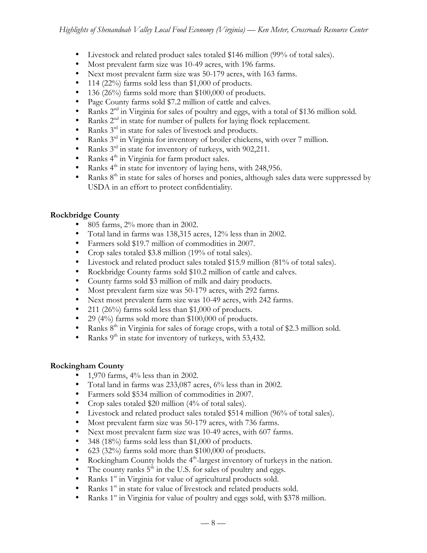- Livestock and related product sales totaled \$146 million (99% of total sales).
- Most prevalent farm size was 10-49 acres, with 196 farms.
- Next most prevalent farm size was 50-179 acres, with 163 farms.
- 114 (22%) farms sold less than \$1,000 of products.
- 136 (26%) farms sold more than \$100,000 of products.
- Page County farms sold \$7.2 million of cattle and calves.
- Ranks  $2^{nd}$  in Virginia for sales of poultry and eggs, with a total of \$136 million sold.
- Ranks  $2<sup>nd</sup>$  in state for number of pullets for laying flock replacement.
- Ranks  $3<sup>rd</sup>$  in state for sales of livestock and products.
- Ranks 3rd in Virginia for inventory of broiler chickens, with over 7 million.
- Ranks  $3<sup>rd</sup>$  in state for inventory of turkeys, with 902,211.<br>• Ranks  $4<sup>th</sup>$  in Viroinia for farm product sales
- Ranks 4<sup>th</sup> in Virginia for farm product sales.
- Ranks  $4<sup>th</sup>$  in state for inventory of laying hens, with 248,956.
- Ranks 8<sup>th</sup> in state for sales of horses and ponies, although sales data were suppressed by USDA in an effort to protect confidentiality.

# **Rockbridge County**

- 805 farms, 2% more than in 2002.
- Total land in farms was 138,315 acres, 12% less than in 2002.
- Farmers sold \$19.7 million of commodities in 2007.
- Crop sales totaled \$3.8 million (19% of total sales).
- Livestock and related product sales totaled \$15.9 million (81% of total sales).
- Rockbridge County farms sold \$10.2 million of cattle and calves.
- County farms sold \$3 million of milk and dairy products.
- Most prevalent farm size was 50-179 acres, with 292 farms.
- Next most prevalent farm size was 10-49 acres, with 242 farms.
- 211 (26%) farms sold less than  $$1,000$  of products.
- 29 (4%) farms sold more than \$100,000 of products.
- Ranks  $8<sup>th</sup>$  in Virginia for sales of forage crops, with a total of \$2.3 million sold.
- Ranks  $9<sup>th</sup>$  in state for inventory of turkeys, with 53,432.

## **Rockingham County**

- 1,970 farms, 4% less than in 2002.
- Total land in farms was 233,087 acres, 6% less than in 2002.
- Farmers sold \$534 million of commodities in 2007.
- Crop sales totaled \$20 million (4% of total sales).
- Livestock and related product sales totaled \$514 million (96% of total sales).
- Most prevalent farm size was 50-179 acres, with 736 farms.
- Next most prevalent farm size was 10-49 acres, with 607 farms.
- 348 (18%) farms sold less than \$1,000 of products.
- 623 (32%) farms sold more than \$100,000 of products.
- Rockingham County holds the  $4<sup>th</sup>$ -largest inventory of turkeys in the nation.
- The county ranks  $5<sup>th</sup>$  in the U.S. for sales of poultry and eggs.
- Ranks 1<sup>st</sup> in Virginia for value of agricultural products sold.
- Ranks  $1<sup>st</sup>$  in state for value of livestock and related products sold.
- Ranks  $1<sup>st</sup>$  in Virginia for value of poultry and eggs sold, with \$378 million.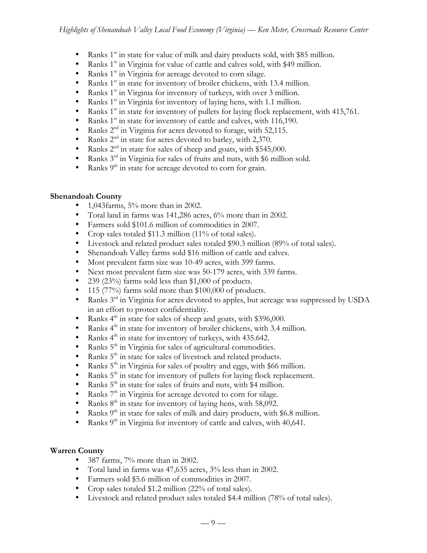- Ranks 1<sup>st</sup> in state for value of milk and dairy products sold, with \$85 million.
- Ranks  $1<sup>st</sup>$  in Virginia for value of cattle and calves sold, with \$49 million.
- Ranks  $1<sup>st</sup>$  in Virginia for acreage devoted to corn silage.
- Ranks  $1<sup>st</sup>$  in state for inventory of broiler chickens, with 13.4 million.
- Ranks  $1<sup>st</sup>$  in Virginia for inventory of turkeys, with over 3 million.
- Ranks  $1<sup>st</sup>$  in Virginia for inventory of laying hens, with 1.1 million.
- Ranks  $1<sup>st</sup>$  in state for inventory of pullets for laying flock replacement, with 415,761.
- Ranks  $1<sup>st</sup>$  in state for inventory of cattle and calves, with 116,190.
- Ranks  $2<sup>nd</sup>$  in Virginia for acres devoted to forage, with 52,115.
- Ranks 2<sup>nd</sup> in state for acres devoted to barley, with 2,370.
- Ranks  $2<sup>nd</sup>$  in state for sales of sheep and goats, with \$545,000.<br>• Ranks  $3<sup>rd</sup>$  in Virginia for sales of fruits and nuts, with \$6 million
- Ranks 3<sup>rd</sup> in Virginia for sales of fruits and nuts, with \$6 million sold.
- Ranks  $9<sup>th</sup>$  in state for acreage devoted to corn for grain.

# **Shenandoah County**

- 1,043farms, 5% more than in 2002.
- Total land in farms was 141,286 acres, 6% more than in 2002.
- Farmers sold \$101.6 million of commodities in 2007.
- Crop sales totaled \$11.3 million (11% of total sales).
- Livestock and related product sales totaled \$90.3 million (89% of total sales).
- Shenandoah Valley farms sold \$16 million of cattle and calves.
- Most prevalent farm size was 10-49 acres, with 399 farms.
- Next most prevalent farm size was 50-179 acres, with 339 farms.
- 239 (23%) farms sold less than \$1,000 of products.
- 115 (77%) farms sold more than \$100,000 of products.
- Ranks  $3^{rd}$  in Virginia for acres devoted to apples, but acreage was suppressed by USDA in an effort to protect confidentiality.
- Ranks  $4^{\text{th}}$  in state for sales of sheep and goats, with \$396,000.<br>• Ranks  $4^{\text{th}}$  in state for inventory of broiler chickens, with 3.4 m
- Ranks 4<sup>th</sup> in state for inventory of broiler chickens, with 3.4 million.
- Ranks  $4<sup>th</sup>$  in state for inventory of turkeys, with 435.642.
- Ranks 5<sup>th</sup> in Virginia for sales of agricultural commodities.
- Ranks  $5<sup>th</sup>$  in state for sales of livestock and related products.
- Ranks  $5<sup>th</sup>$  in Virginia for sales of poultry and eggs, with \$66 million.
- Ranks  $5^{\text{th}}$  in state for inventory of pullets for laying flock replacement.<br>• Ranks  $5^{\text{th}}$  in state for sales of fruits and puts, with \$4 million
- Ranks  $5^{\text{th}}$  in state for sales of fruits and nuts, with \$4 million.<br>• Ranks  $7^{\text{th}}$  in Virginia for acreage devoted to corn for silage.
- Ranks  $7<sup>th</sup>$  in Virginia for acreage devoted to corn for silage.<br>• Ranks  $8<sup>th</sup>$  in state for inventory of laving hens, with 58,092.
- Ranks  $8<sup>th</sup>$  in state for inventory of laying hens, with 58,092.
- Ranks 9<sup>th</sup> in state for sales of milk and dairy products, with \$6.8 million.
- Ranks  $9<sup>th</sup>$  in Virginia for inventory of cattle and calves, with 40,641.

# **Warren County**

- 387 farms, 7% more than in 2002.
- Total land in farms was 47,635 acres, 3% less than in 2002.
- Farmers sold \$5.6 million of commodities in 2007.
- Crop sales totaled \$1.2 million (22% of total sales).
- Livestock and related product sales totaled \$4.4 million (78% of total sales).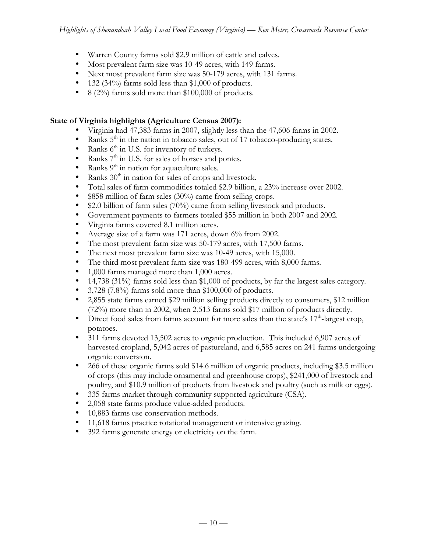- Warren County farms sold \$2.9 million of cattle and calves.
- Most prevalent farm size was 10-49 acres, with 149 farms.
- Next most prevalent farm size was 50-179 acres, with 131 farms.
- 132 (34%) farms sold less than \$1,000 of products.
- 8 (2%) farms sold more than \$100,000 of products.

# **State of Virginia highlights (Agriculture Census 2007):**

- Virginia had 47,383 farms in 2007, slightly less than the 47,606 farms in 2002.
- Ranks  $5<sup>th</sup>$  in the nation in tobacco sales, out of 17 tobacco-producing states.
- Ranks  $6^{\text{th}}$  in U.S. for inventory of turkeys.<br>• Ranks  $7^{\text{th}}$  in U.S. for sales of horses and no
- Ranks 7<sup>th</sup> in U.S. for sales of horses and ponies.
- Ranks  $9<sup>th</sup>$  in nation for aquaculture sales.
- Ranks  $30<sup>th</sup>$  in nation for sales of crops and livestock.
- Total sales of farm commodities totaled \$2.9 billion, a 23% increase over 2002.
- \$858 million of farm sales (30%) came from selling crops.
- \$2.0 billion of farm sales (70%) came from selling livestock and products.
- Government payments to farmers totaled \$55 million in both 2007 and 2002.
- Virginia farms covered 8.1 million acres.
- Average size of a farm was 171 acres, down 6% from 2002.
- The most prevalent farm size was 50-179 acres, with 17,500 farms.
- The next most prevalent farm size was 10-49 acres, with 15,000.
- The third most prevalent farm size was 180-499 acres, with 8,000 farms.
- 1,000 farms managed more than 1,000 acres.
- 14,738 (31%) farms sold less than \$1,000 of products, by far the largest sales category.
- 3,728 (7.8%) farms sold more than \$100,000 of products.
- 2,855 state farms earned \$29 million selling products directly to consumers, \$12 million (72%) more than in 2002, when 2,513 farms sold \$17 million of products directly.
- Direct food sales from farms account for more sales than the state's  $17<sup>th</sup>$ -largest crop, potatoes.
- 311 farms devoted 13,502 acres to organic production. This included 6,907 acres of harvested cropland, 5,042 acres of pastureland, and 6,585 acres on 241 farms undergoing organic conversion.
- 266 of these organic farms sold \$14.6 million of organic products, including \$3.5 million of crops (this may include ornamental and greenhouse crops), \$241,000 of livestock and poultry, and \$10.9 million of products from livestock and poultry (such as milk or eggs).
- 335 farms market through community supported agriculture (CSA).
- 2,058 state farms produce value-added products.
- 10,883 farms use conservation methods.
- 11,618 farms practice rotational management or intensive grazing.
- 392 farms generate energy or electricity on the farm.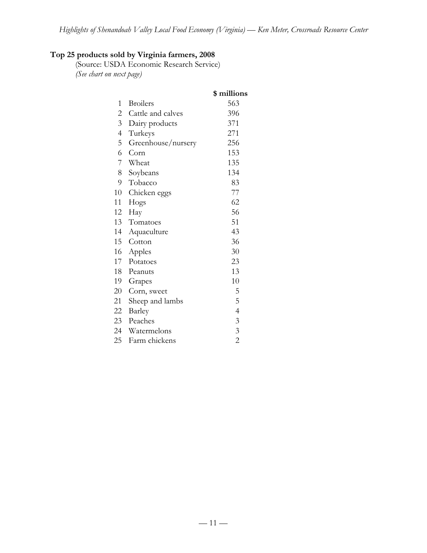# **Top 25 products sold by Virginia farmers, 2008**

(Source: USDA Economic Research Service) *(See chart on next page)*

|                |                    | \$ millions    |
|----------------|--------------------|----------------|
| 1              | <b>Broilers</b>    | 563            |
| $\overline{c}$ | Cattle and calves  | 396            |
| $\overline{3}$ | Dairy products     | 371            |
| $\overline{4}$ | Turkeys            | 271            |
| 5              | Greenhouse/nursery | 256            |
| 6              | Corn               | 153            |
| 7              | Wheat              | 135            |
| 8              | Soybeans           | 134            |
| 9              | Tobacco            | 83             |
| 10             | Chicken eggs       | 77             |
| 11             | Hogs               | 62             |
| 12             | Hay                | 56             |
| 13             | Tomatoes           | 51             |
| 14             | Aquaculture        | 43             |
| 15             | Cotton             | 36             |
| 16             | Apples             | 30             |
| 17             | Potatoes           | 23             |
| 18             | Peanuts            | 13             |
| 19             | Grapes             | 10             |
| 20             | Corn, sweet        | 5              |
| 21             | Sheep and lambs    | 5              |
| 22             | Barley             | $\overline{4}$ |
| 23             | Peaches            | $\mathfrak{Z}$ |
| 24             | Watermelons        | $\mathfrak{Z}$ |
| 25             | Farm chickens      | $\overline{2}$ |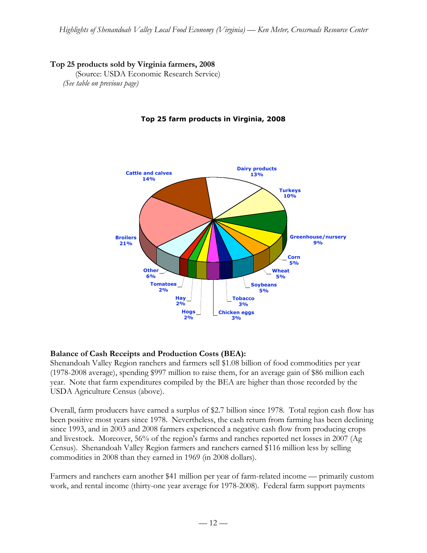# **Top 25 products sold by Virginia farmers, 2008**

(Source: USDA Economic Research Service) *(See table on previous page)*



# **Top 25 farm products in Virginia, 2008**

## **Balance of Cash Receipts and Production Costs (BEA):**

Shenandoah Valley Region ranchers and farmers sell \$1.08 billion of food commodities per year (1978-2008 average), spending \$997 million to raise them, for an average gain of \$86 million each year. Note that farm expenditures compiled by the BEA are higher than those recorded by the USDA Agriculture Census (above).

Overall, farm producers have earned a surplus of \$2.7 billion since 1978. Total region cash flow has been positive most years since 1978. Nevertheless, the cash return from farming has been declining since 1993, and in 2003 and 2008 farmers experienced a negative cash flow from producing crops and livestock. Moreover, 56% of the region's farms and ranches reported net losses in 2007 (Ag Census). Shenandoah Valley Region farmers and ranchers earned \$116 million less by selling commodities in 2008 than they earned in 1969 (in 2008 dollars).

Farmers and ranchers earn another \$41 million per year of farm-related income — primarily custom work, and rental income (thirty-one year average for 1978-2008). Federal farm support payments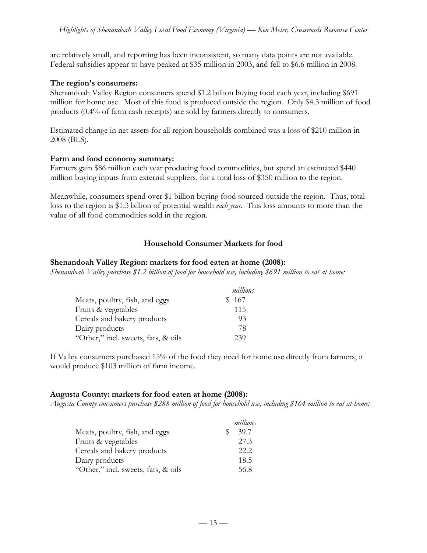are relatively small, and reporting has been inconsistent, so many data points are not available. Federal subsidies appear to have peaked at \$35 million in 2003, and fell to \$6.6 million in 2008.

#### **The region's consumers:**

Shenandoah Valley Region consumers spend \$1.2 billion buying food each year, including \$691 million for home use. Most of this food is produced outside the region. Only \$4.3 million of food products (0.4% of farm cash receipts) are sold by farmers directly to consumers.

Estimated change in net assets for all region households combined was a loss of \$210 million in 2008 (BLS).

#### **Farm and food economy summary:**

Farmers gain \$86 million each year producing food commodities, but spend an estimated \$440 million buying inputs from external suppliers, for a total loss of \$350 million to the region.

Meanwhile, consumers spend over \$1 billion buying food sourced outside the region. Thus, total loss to the region is \$1.3 billion of potential wealth *each year*. This loss amounts to more than the value of all food commodities sold in the region.

# **Household Consumer Markets for food**

#### **Shenandoah Valley Region: markets for food eaten at home (2008):**

*Shenandoah Valley purchase \$1.2 billion of food for household use, including \$691 million to eat at home:*

|                                     | millions |
|-------------------------------------|----------|
| Meats, poultry, fish, and eggs      | \$167    |
| Fruits & vegetables                 | 115      |
| Cereals and bakery products         | 93       |
| Dairy products                      | 78       |
| "Other," incl. sweets, fats, & oils | 239      |

If Valley consumers purchased 15% of the food they need for home use directly from farmers, it would produce \$103 million of farm income.

## **Augusta County: markets for food eaten at home (2008):**

*Augusta County consumers purchase \$288 million of food for household use, including \$164 million to eat at home:*

|                                     |   | millions |
|-------------------------------------|---|----------|
| Meats, poultry, fish, and eggs      | S | 39.7     |
| Fruits & vegetables                 |   | 27.3     |
| Cereals and bakery products         |   | 22.2     |
| Dairy products                      |   | 18.5     |
| "Other," incl. sweets, fats, & oils |   | 56.8     |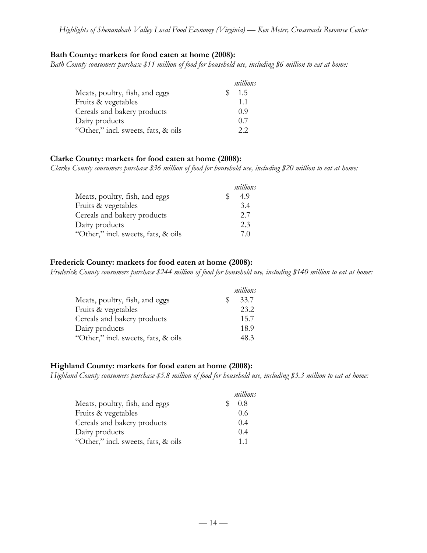#### **Bath County: markets for food eaten at home (2008):**

*Bath County consumers purchase \$11 million of food for household use, including \$6 million to eat at home:*

|                                     | millions |
|-------------------------------------|----------|
| Meats, poultry, fish, and eggs      | 1.5      |
| Fruits & vegetables                 | 11       |
| Cereals and bakery products         | 09       |
| Dairy products                      | 0.7      |
| "Other," incl. sweets, fats, & oils | 2.2      |

#### **Clarke County: markets for food eaten at home (2008):**

*Clarke County consumers purchase \$36 million of food for household use, including \$20 million to eat at home:*

|                                     |   | millions |
|-------------------------------------|---|----------|
| Meats, poultry, fish, and eggs      | S | 4.9      |
| Fruits & vegetables                 |   | 3.4      |
| Cereals and bakery products         |   | 2.7      |
| Dairy products                      |   | 2.3      |
| "Other," incl. sweets, fats, & oils |   | 70       |

#### **Frederick County: markets for food eaten at home (2008):**

*Frederick County consumers purchase \$244 million of food for household use, including \$140 million to eat at home:*

|                                     | millions |
|-------------------------------------|----------|
| Meats, poultry, fish, and eggs      | 33.7     |
| Fruits & vegetables                 | 23.2     |
| Cereals and bakery products         | 15.7     |
| Dairy products                      | 18.9     |
| "Other," incl. sweets, fats, & oils | 48.3     |

## **Highland County: markets for food eaten at home (2008):**

*Highland County consumers purchase \$5.8 million of food for household use, including \$3.3 million to eat at home:*

|                                     | millions       |
|-------------------------------------|----------------|
| Meats, poultry, fish, and eggs      | 0.8            |
| Fruits & vegetables                 | 0.6            |
| Cereals and bakery products         | 0.4            |
| Dairy products                      | 0.4            |
| "Other," incl. sweets, fats, & oils | 1 <sub>1</sub> |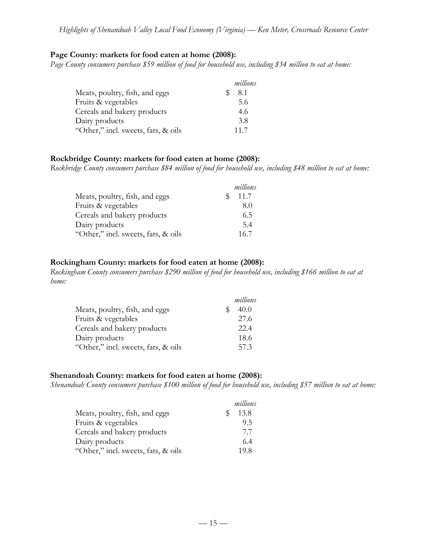#### **Page County: markets for food eaten at home (2008):**

*Page County consumers purchase \$59 million of food for household use, including \$34 million to eat at home:*

|                                     | millions |
|-------------------------------------|----------|
| Meats, poultry, fish, and eggs      | 8.1      |
| Fruits & vegetables                 | 5.6      |
| Cereals and bakery products         | 4.6      |
| Dairy products                      | 3.8      |
| "Other," incl. sweets, fats, & oils | 11.7     |

#### **Rockbridge County: markets for food eaten at home (2008):**

*Rockbridge County consumers purchase \$84 million of food for household use, including \$48 million to eat at home:*

|                                     |     | millions |
|-------------------------------------|-----|----------|
| Meats, poultry, fish, and eggs      | SS. | 11.7     |
| Fruits & vegetables                 |     | 8.0      |
| Cereals and bakery products         |     | 6.5      |
| Dairy products                      |     | 5.4      |
| "Other," incl. sweets, fats, & oils |     | 16.7     |

#### **Rockingham County: markets for food eaten at home (2008):**

*Rockingham County consumers purchase \$290 million of food for household use, including \$166 million to eat at home:*

|                                     |   | millions |
|-------------------------------------|---|----------|
| Meats, poultry, fish, and eggs      | S | 40.0     |
| Fruits & vegetables                 |   | 27.6     |
| Cereals and bakery products         |   | 22.4     |
| Dairy products                      |   | 18.6     |
| "Other," incl. sweets, fats, & oils |   | 57.3     |

## **Shenandoah County: markets for food eaten at home (2008):**

*Shenandoah County consumers purchase \$100 million of food for household use, including \$57 million to eat at home:*

|                                     |   | millions |
|-------------------------------------|---|----------|
| Meats, poultry, fish, and eggs      | S | 13.8     |
| Fruits & vegetables                 |   | 9.5      |
| Cereals and bakery products         |   | 77       |
| Dairy products                      |   | 6.4      |
| "Other," incl. sweets, fats, & oils |   | 19.8     |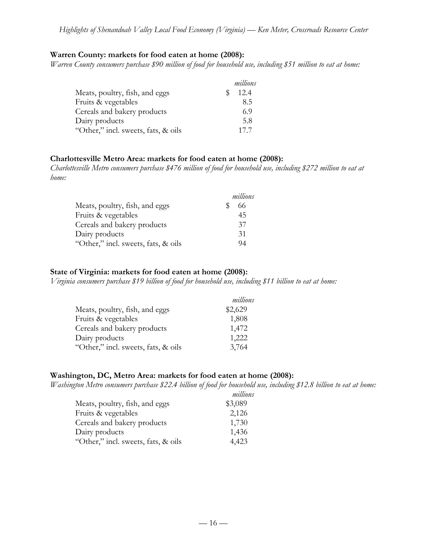#### **Warren County: markets for food eaten at home (2008):**

*Warren County consumers purchase \$90 million of food for household use, including \$51 million to eat at home:*

|                                     | millions |
|-------------------------------------|----------|
| Meats, poultry, fish, and eggs      | 12.4     |
| Fruits & vegetables                 | 85       |
| Cereals and bakery products         | 6.9      |
| Dairy products                      | 5.8      |
| "Other," incl. sweets, fats, & oils | 177      |

## **Charlottesville Metro Area: markets for food eaten at home (2008):**

*Charlottesville Metro consumers purchase \$476 million of food for household use, including \$272 million to eat at home:*

|                                     | millions |
|-------------------------------------|----------|
| Meats, poultry, fish, and eggs      | 66       |
| Fruits & vegetables                 | 45       |
| Cereals and bakery products         | 37       |
| Dairy products                      | 31       |
| "Other," incl. sweets, fats, & oils | 94       |

#### **State of Virginia: markets for food eaten at home (2008):**

*Virginia consumers purchase \$19 billion of food for household use, including \$11 billion to eat at home:*

|                                     | millions |
|-------------------------------------|----------|
| Meats, poultry, fish, and eggs      | \$2,629  |
| Fruits & vegetables                 | 1,808    |
| Cereals and bakery products         | 1,472    |
| Dairy products                      | 1,222    |
| "Other," incl. sweets, fats, & oils | 3,764    |

#### **Washington, DC, Metro Area: markets for food eaten at home (2008):**

*Washington Metro consumers purchase \$22.4 billion of food for household use, including \$12.8 billion to eat at home:*

| millions |
|----------|
| \$3,089  |
| 2,126    |
| 1,730    |
| 1,436    |
| 4,423    |
|          |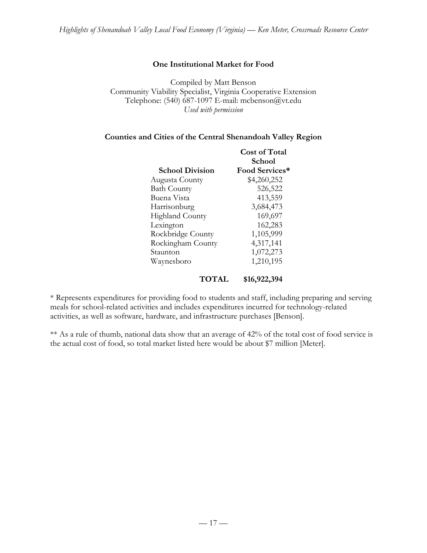## **One Institutional Market for Food**

Compiled by Matt Benson Community Viability Specialist, Virginia Cooperative Extension Telephone: (540) 687-1097 E-mail: mcbenson@vt.edu *Used with permission*

#### **Counties and Cities of the Central Shenandoah Valley Region**

|                        | Cost of Total  |  |
|------------------------|----------------|--|
|                        | School         |  |
| <b>School Division</b> | Food Services* |  |
| Augusta County         | \$4,260,252    |  |
| <b>Bath County</b>     | 526,522        |  |
| Buena Vista            | 413,559        |  |
| Harrisonburg           | 3,684,473      |  |
| <b>Highland County</b> | 169,697        |  |
| Lexington              | 162,283        |  |
| Rockbridge County      | 1,105,999      |  |
| Rockingham County      | 4,317,141      |  |
| Staunton               | 1,072,273      |  |
| Waynesboro             | 1,210,195      |  |
| TOTAL                  | \$16,922,394   |  |

\* Represents expenditures for providing food to students and staff, including preparing and serving meals for school-related activities and includes expenditures incurred for technology-related activities, as well as software, hardware, and infrastructure purchases [Benson].

\*\* As a rule of thumb, national data show that an average of 42% of the total cost of food service is the actual cost of food, so total market listed here would be about \$7 million [Meter].